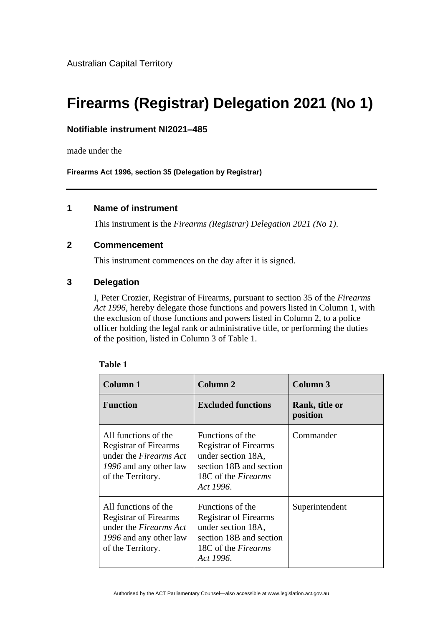# **Firearms (Registrar) Delegation 2021 (No 1)**

### **Notifiable instrument NI2021–485**

made under the

**Firearms Act 1996, section 35 (Delegation by Registrar)**

## **1 Name of instrument**

This instrument is the *Firearms (Registrar) Delegation 2021 (No 1)*.

#### **2 Commencement**

This instrument commences on the day after it is signed.

#### **3 Delegation**

I, Peter Crozier, Registrar of Firearms, pursuant to section 35 of the *Firearms Act 1996*, hereby delegate those functions and powers listed in Column 1, with the exclusion of those functions and powers listed in Column 2, to a police officer holding the legal rank or administrative title, or performing the duties of the position, listed in Column 3 of Table 1.

| <b>Column 1</b>                                                                                                                      | Column 2                                                                                                                                     | Column 3                   |
|--------------------------------------------------------------------------------------------------------------------------------------|----------------------------------------------------------------------------------------------------------------------------------------------|----------------------------|
| <b>Function</b>                                                                                                                      | <b>Excluded functions</b>                                                                                                                    | Rank, title or<br>position |
| All functions of the<br><b>Registrar of Firearms</b><br>under the <i>Firearms Act</i><br>1996 and any other law<br>of the Territory. | Functions of the<br><b>Registrar of Firearms</b><br>under section 18A,<br>section 18B and section<br>18C of the <i>Firearms</i><br>Act 1996. | Commander                  |
| All functions of the<br><b>Registrar of Firearms</b><br>under the <i>Firearms Act</i><br>1996 and any other law<br>of the Territory. | Functions of the<br><b>Registrar of Firearms</b><br>under section 18A,<br>section 18B and section<br>18C of the <i>Firearms</i><br>Act 1996. | Superintendent             |

#### **Table 1**